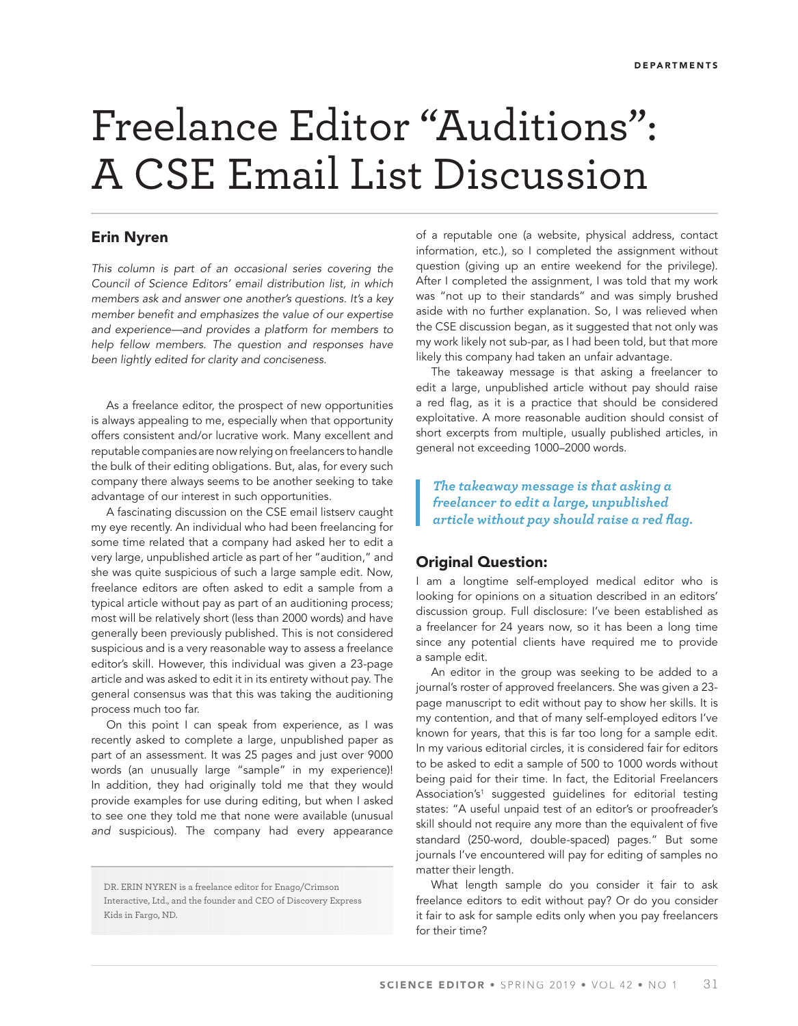# Freelance Editor "Auditions": A CSE Email List Discussion

# **Erin Nyren**

This column is part of an occasional series covering the Council of Science Editors' email distribution list, in which members ask and answer one another's questions. It's a key member benefit and emphasizes the value of our expertise and experience—and provides a platform for members to help fellow members. The question and responses have been lightly edited for clarity and conciseness.

As a freelance editor, the prospect of new opportunities is always appealing to me, especially when that opportunity offers consistent and/or lucrative work. Many excellent and reputable companies are now relying on freelancers to handle the bulk of their editing obligations. But, alas, for every such company there always seems to be another seeking to take advantage of our interest in such opportunities.

A fascinating discussion on the CSE email listserv caught my eye recently. An individual who had been freelancing for some time related that a company had asked her to edit a very large, unpublished article as part of her "audition," and she was quite suspicious of such a large sample edit. Now, freelance editors are often asked to edit a sample from a typical article without pay as part of an auditioning process; most will be relatively short (less than 2000 words) and have generally been previously published. This is not considered suspicious and is a very reasonable way to assess a freelance editor's skill. However, this individual was given a 23-page article and was asked to edit it in its entirety without pay. The general consensus was that this was taking the auditioning process much too far.

On this point I can speak from experience, as I was recently asked to complete a large, unpublished paper as part of an assessment. It was 25 pages and just over 9000 words (an unusually large "sample" in my experience)! In addition, they had originally told me that they would provide examples for use during editing, but when I asked to see one they told me that none were available (unusual and suspicious). The company had every appearance

DR. ERIN NYREN is a freelance editor for Enago/Crimson Interactive, Ltd., and the founder and CEO of Discovery Express Kids in Fargo, ND.

of a reputable one (a website, physical address, contact information, etc.), so I completed the assignment without question (giving up an entire weekend for the privilege). After I completed the assignment, I was told that my work was "not up to their standards" and was simply brushed aside with no further explanation. So, I was relieved when the CSE discussion began, as it suggested that not only was my work likely not sub-par, as I had been told, but that more likely this company had taken an unfair advantage.

The takeaway message is that asking a freelancer to edit a large, unpublished article without pay should raise a red flag, as it is a practice that should be considered exploitative. A more reasonable audition should consist of short excerpts from multiple, usually published articles, in general not exceeding 1000–2000 words.

*The takeaway message is that asking a freelancer to edit a large, unpublished article without pay should raise a red flag.* 

# **Original Question:**

I am a longtime self-employed medical editor who is looking for opinions on a situation described in an editors' discussion group. Full disclosure: I've been established as a freelancer for 24 years now, so it has been a long time since any potential clients have required me to provide a sample edit.

An editor in the group was seeking to be added to a journal's roster of approved freelancers. She was given a 23 page manuscript to edit without pay to show her skills. It is my contention, and that of many self-employed editors I've known for years, that this is far too long for a sample edit. In my various editorial circles, it is considered fair for editors to be asked to edit a sample of 500 to 1000 words without being paid for their time. In fact, the Editorial Freelancers Association's<sup>1</sup> suggested guidelines for editorial testing states: "A useful unpaid test of an editor's or proofreader's skill should not require any more than the equivalent of five standard (250-word, double-spaced) pages." But some journals I've encountered will pay for editing of samples no matter their length.

What length sample do you consider it fair to ask freelance editors to edit without pay? Or do you consider it fair to ask for sample edits only when you pay freelancers for their time?